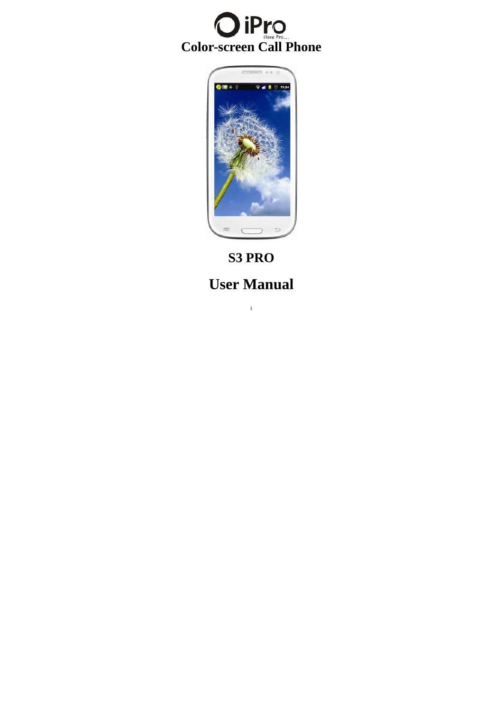



**S3 PRO User Manual**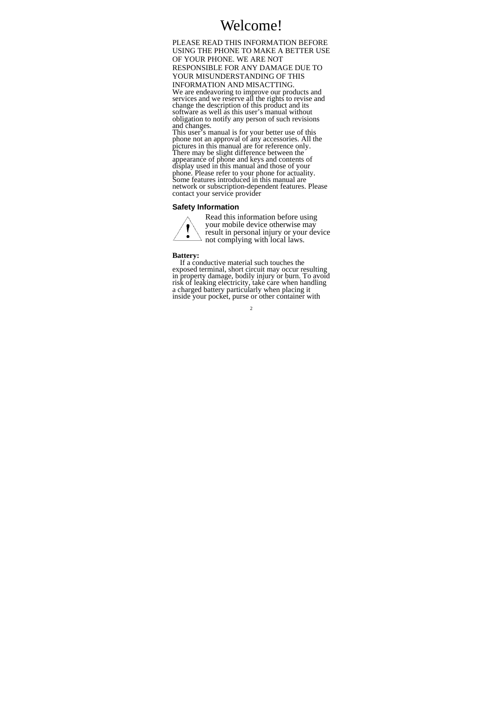# Welcome!

PLEASE READ THIS INFORMATION BEFORE USING THE PHONE TO MAKE A BETTER USE OF YOUR PHONE. WE ARE NOT RESPONSIBLE FOR ANY DAMAGE DUE TO YOUR MISUNDERSTANDING OF THIS INFORMATION AND MISACTTING. We are endeavoring to improve our products and services and we reserve all the rights to revise and change the description of this product and its software as well as this user's manual without obligation to notify any person of such revisions and changes.<br>This user's manual is for your better use of this

This user's manual is for your better use of this phone not an approval of any accessories. All the pictures in this manual are for reference only. There may be slight difference between the appearance of phone and keys and contents of display used in this manual and those of your phone. Please refer to your phone for actuality. Some features introduced in this manual are network or subscription-dependent features. Please contact your service provider

# **Safety Information**



Read this information before using your mobile device otherwise may result in personal injury or your device not complying with local laws.

**Battery:** If a conductive material such touches the exposed terminal, short circuit may occur resulting in property damage, bodily injury or burn. To avoid risk of leaking electricity, take care when handling a charged battery particularly when placing it inside your pocket, purse or other container with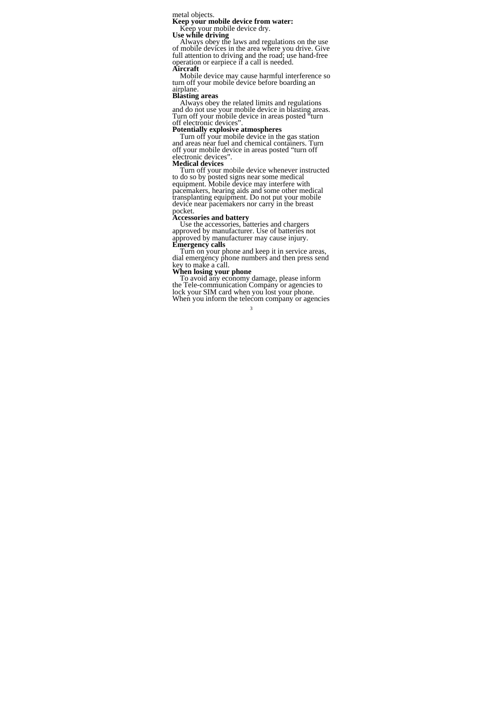metal objects.<br> **Keep your mobile device from water:**<br> **Keep your mobile device dry.**<br> **Use while driving**<br> **Complementary**<br> **Complementary**<br> **Complementary**<br> **Complementary**<br> **Complementary**<br> **Complementary**<br> **Complementa** 

Mobile device may cause harmful interference so<br>turn off your mobile device before boarding an<br>airplane.<br>**Blasting areas**<br>Always obey the related limits and regulations<br>and do not use your mobile device in blasting areas.<br>

**Potentially explosive atmospheres**<br>Turn off your mobile device in the gas station Turn off your mobile device in the gas station and areas near fuel and chemical containers. Turn off your mobile device in areas posted "turn off electronic devices". **Medical devices** 

Turn off your mobile device whenever instructed to do so by posted signs near some medical<br>equipment. Mobile device may interfere with equipment. Mobile device may interfere with pacemakers, hearing aids and some other medical transplanting equipment. Do not put your mobile device near pacemakers nor carry in the breast pocket.<br> **Accessories and battery** 

**Accessories and battery** Use the accessories, batteries and chargers approved by manufacturer. Use of batteries not

approved by manufacturer may cause injury.<br> **Emergency calls**<br>
Turn on your phone and keep it in service areas,<br>
dial emergency phone numbers and then press send<br>
key to make a call.

# **When losing your phone**

To avoid any economy damage, please inform the Tele-communication Company or agencies to lock your SIM card when you lost your phone. When you inform the telecom company or agencies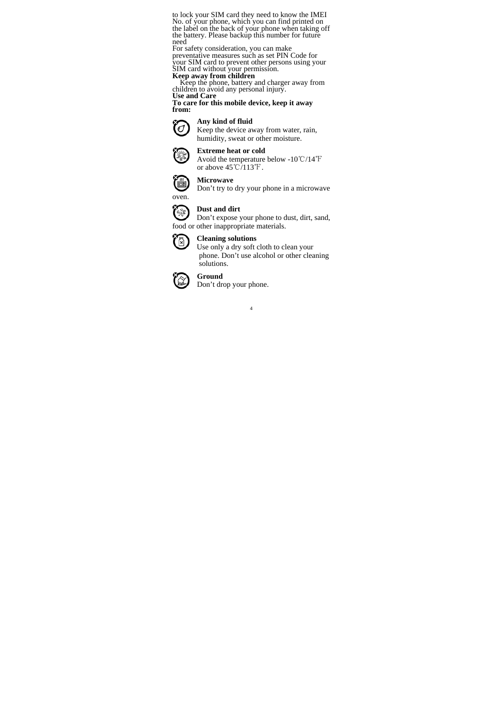to lock your SIM card they need to know the IMEI No. of your phone, which you can find printed on the label on the back of your phone when taking off the battery. Please backup this number for future need

For safety consideration, you can make preventative measures such as set PIN Code for your SIM card to prevent other persons using your SIM card without your permission.

**Keep away from children**<br> **Keep the phone, battery and charger away from children to avoid any personal injury.** 

**Use and Care To care for this mobile device, keep it away from:** 



Keep the device away from water, rain, humidity, sweat or other moisture.



# **Extreme heat or cold**

Avoid the temperature below -10 °C/14 °F or above  $45^{\circ}$ C/113 $^{\circ}$ F.



**Microwave** 

Don't try to dry your phone in a microwave



oven.

# **Dust and dirt**

**Dust and dirt**<br>Don't expose your phone to dust, dirt, sand, food or other inappropriate materials.



# **Cleaning solutions**

Use only a dry soft cloth to clean your phone. Don't use alcohol or other cleaning solutions.



# **Ground**

Don't drop your phone.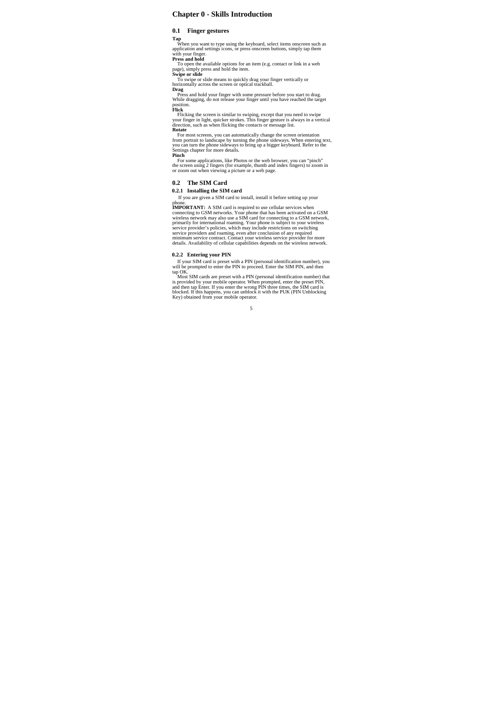# **Chapter 0 - Skills Introduction**

## **0.1 Finger gestures**

**Tap**<br>When you want to type using the keyboard, select items onscreen such as<br>application and settings icons, or press onscreen buttons, simply tap them<br>with your finger.<br>**Press and hold**<br>To open the available options for

Press and hold your finger with some pressure before you start to drag. While dragging, do not release your finger until you have reached the target position. **Flick**

Flicking the screen is similar to swiping, except that you need to swipe your finger in light, quicker strokes. This finger gesture is always in a vertical direction, such as when flicking the contacts or message list.

**Rotate**<br>For most screens, you can automatically change the screen orientation<br>from portrait to landscape by turning the phone sideways. When entering text,<br>you can turn the phone sideways to bring up a bigger keyboard. Re

For some applications, like Photos or the web browser, you can "pinch" the screen using 2 fingers (for example, thumb and index fingers) to zoom in or zoom out when viewing a picture or a web page.

# **0.2 The SIM Card**

# **0.2.1 Installing the SIM card**

If you are given a SIM card to install, install it before setting up your

phone.<br>**IMPORTANT:** A SIM card is required to use cellular services when<br>**CONDIVION CONCONSTANT:** A SIM card for connecting to GSM network,<br>wireless network may also use a SIM card for connecting to a GSM network,<br>primaril

# **0.2.2 Entering your PIN**

If your SIM card is preset with a PIN (personal identification number), you<br>will be prompted to enter the PIN to proceed. Enter the SIM PIN, and then<br>thous SIM cards are preset with a PIN (personal identification number) t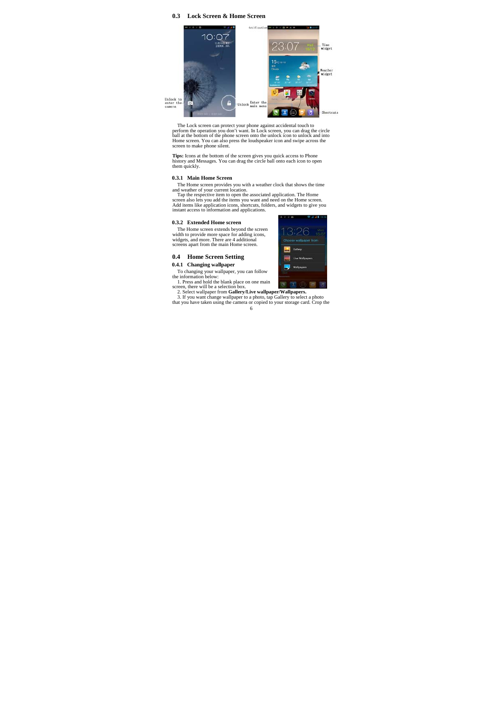### **0.3 Lock Screen & Home Screen**



The Lock screen can protect your phone against accidental touch to<br>perform the operation you don't want. In Lock screen, you can drag the circle<br>ball at the bottom of the phone screen onto the unlock icon to unlock and int

**Tips:** Icons at the bottom of the screen gives you quick access to Phone history and Messages. You can drag the circle ball onto each icon to open them quickly.

## **0.3.1 Main Home Screen**

The Home screen provides you with a weather clock that shows the time<br>and weather of your current location.<br>Tap the respective item to open the associated application. The Home<br>screen also lets you add the items you want a

### **0.3.2 Extended Home screen**

The Home screen extends beyond the screen width to provide more space for adding icons, widgets, and more. There are 4 additional screens apart from the main Home screen.

#### **0.4 Home Screen Setting**

**0.4.1 Changing wallpaper** 

To changing your wallpaper, you can follow<br>the information below.<br>1. Press and hold the blank place on one main<br>2. Settember 1. The will be a selection box.<br>2. Select wallpaper from **Gallery/Live wallpaper/Wallpapers.**<br>3.

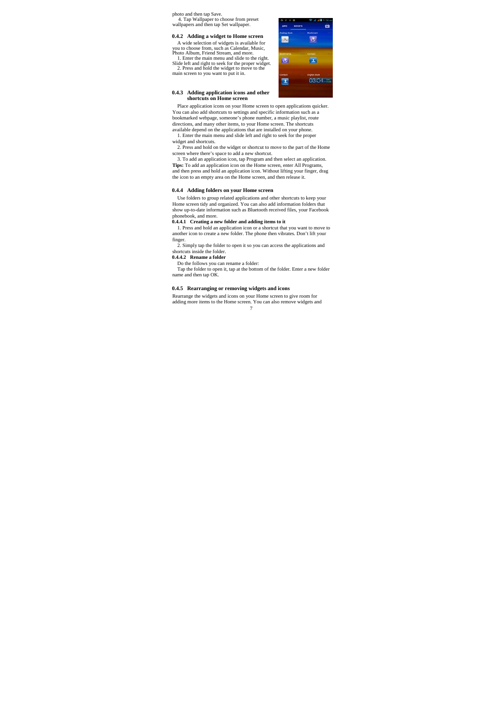photo and then tap Save. 4. Tap Wallpaper to choose from preset wallpapers and then tap Set wallpaper.

#### **0.4.2 Adding a widget to Home screen**

A wide selection of widgets is available for you to choose from, such as Calendar, Music,<br>Photo Album, Friend Stream, and more.<br>1. Enter the main menu and slide to the right.<br>Slide left and right to seek for the proper widget.<br>2. Press and hold the widget to move to

**0.4.3 Adding application icons and other shortcuts on Home screen** 

# $\overline{3}$ **BL**  $\ddot{\bullet}$ p. 03:04 工

Place application icons on your Home screen to open applications quicker. You can also add shortcuts to settings and specific information such as a bookmarked webpage, someone's phone number, a music playlist, route directions, and many other items, to your Home screen. The shortcuts available depend on the applications that are installed on your phone. 1. Enter the main menu and slide left and right to seek for the proper

widget and shortcuts.

2. Press and hold on the widget or shortcut to move to the part of the Home screen where there's space to add a new shortcut. 3. To add an application icon, tap Program and then select an application.

**Tips:** To add an application icon on the Home screen, enter All Programs, and then press and hold an application icon. Without lifting your finger, drag the icon to an empty area on the Home screen, and then release it.

### **0.4.4 Adding folders on your Home screen**

Use folders to group related applications and other shortcuts to keep your Home screen tidy and organized. You can also add information folders that show up-to-date information such as Bluetooth received files, your Facebook

phonebook, and more. **0.4.4.1 Creating a new folder and adding items to it**  1. Press and hold an application icon or a shortcut that you want to move to another icon to create a new folder. The phone then vibrates. Don't lift your finger.

2. Simply tap the folder to open it so you can access the applications and shortcuts inside the folder. **0.4.4.2 Rename a folder** 

Do the follows you can rename a folder:

Tap the folder to open it, tap at the bottom of the folder. Enter a new folder name and then tap OK.

### **0.4.5 Rearranging or removing widgets and icons**

7 Rearrange the widgets and icons on your Home screen to give room for adding more items to the Home screen. You can also remove widgets and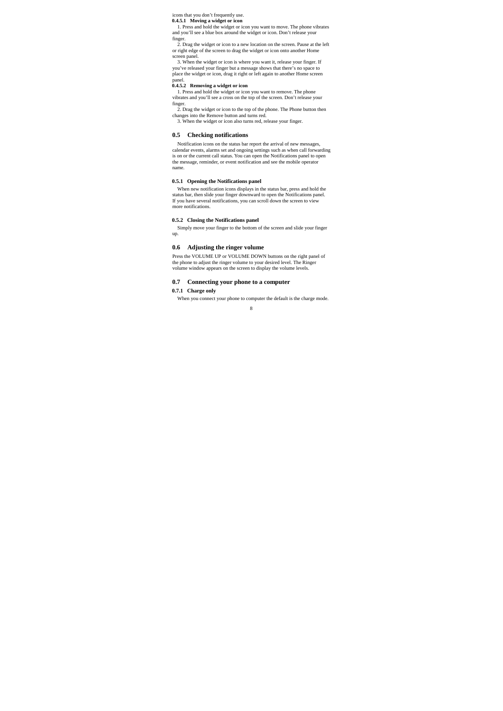icons that you don't frequently use.

**0.4.5.1 Moving a widget or icon**<br>1. Press and hold the widget or icon you want to move. The phone vibrates and you'll see a blue box around the widget or icon. Don't release your

finger. 2. Drag the widget or icon to a new location on the screen. Pause at the left or right edge of the screen to drag the widget or icon onto another Home

screen panel. 3. When the widget or icon is where you want it, release your finger. If you've released your finger but a message shows that there's no space to place the widget or icon, drag it right or left again to another Home screen

# panel. **0.4.5.2 Removing a widget or icon**

1. Press and hold the widget or icon you want to remove. The phone vibrates and you'll see a cross on the top of the screen. Don't release your finger.

2. Drag the widget or icon to the top of the phone. The Phone button then changes into the Remove button and turns red. 3. When the widget or icon also turns red, release your finger.

# **0.5 Checking notifications**

Notification icons on the status bar report the arrival of new messages, calendar events, alarms set and ongoing settings such as when call forwarding<br>is on or the current call status. You can open the Notifications panel to open<br>the message, reminder, or event notification and see the mobile o name.

## **0.5.1 Opening the Notifications panel**

When new notification icons displays in the status bar, press and hold the status bar, then slide your finger downward to open the Notifications panel. If you have several notifications, you can scroll down the screen to view more notifications.

### **0.5.2 Closing the Notifications panel**

Simply move your finger to the bottom of the screen and slide your finger up.

#### **0.6 Adjusting the ringer volume**

Press the VOLUME UP or VOLUME DOWN buttons on the right panel of the phone to adjust the ringer volume to your desired level. The Ringer volume window appears on the screen to display the volume levels.

# **0.7 Connecting your phone to a computer**

**0.7.1 Charge only** 

When you connect your phone to computer the default is the charge mode.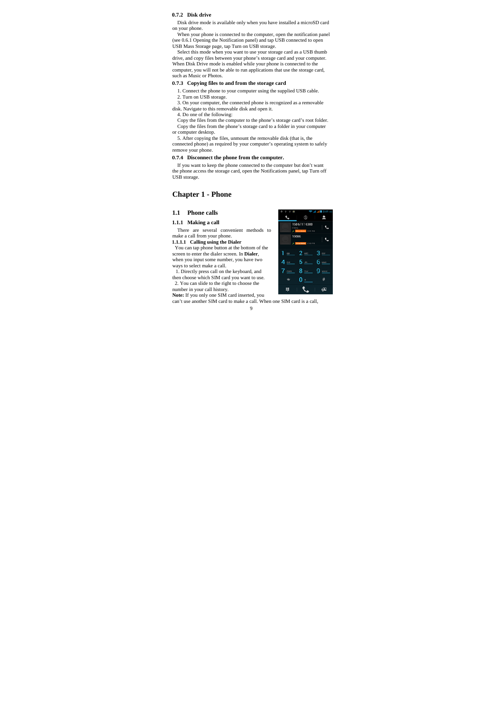# **0.7.2 Disk drive**

Disk drive mode is available only when you have installed a microSD card on your phone.

When your phone is connected to the computer, open the notification panel (see 0.6.1 Opening the Notification panel) and tap USB connected to open

USB Mass Storage page, tap Turn on USB storage.<br>Select this mode when you want to use your storage card as a USB thumb<br>drive, and copy files between your phone 's storage card and your computer.<br>When Disk Drive mode is ena computer, you will not be able to run applications that use the storage card, such as Music or Photos.

### **0.7.3 Copying files to and from the storage card**

1. Connect the phone to your computer using the supplied USB cable.

2. Turn on USB storage. 3. On your computer, the connected phone is recognized as a removable disk. Navigate to this removable disk and open it.

4. Do one of the following: Copy the files from the computer to the phone's storage card's root folder. Copy the files from the phone's storage card to a folder in your computer

or computer desktop. 5. After copying the files, unmount the removable disk (that is, the connected phone) as required by your computer's operating system to safely remove your phone.

**0.7.4 Disconnect the phone from the computer.**

If you want to keep the phone connected to the computer but don't want the phone access the storage card, open the Notifications panel, tap Turn off USB storage.

# **Chapter 1 - Phone**

# **1.1 Phone calls**

### **1.1.1 Making a call**

There are several convenient methods to

make a call from your phone. **1.1.1.1 Calling using the Dialer** 

You can tap phone button at the bottom of the screen to enter the dialer screen. In **Dialer**, when you input some number, you have two

ways to select make a call. 1. Directly press call on the keyboard, and then choose which SIM card you want to use.

2. You can slide to the right to choose the

number in your call history.<br> **Note:** If you only one SIM card inserted, you<br>
can't use another SIM card to make a call. When one SIM card is a call,

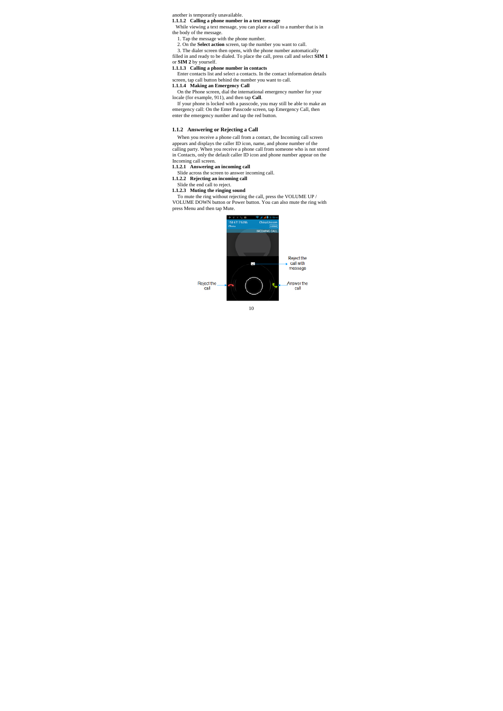# another is temporarily unavailable.

**1.1.1.2 Calling a phone number in a text message**<br>While viewing a text message, you can place a call to a number that is in

the body of the message.<br>
1. Tap the message with the phone number.<br>
2. On the **Select action** screen, tap the number you want to call.<br>
3. The dialer screen then opens, with the phone number automatically

filled in and ready to be dialed. To place the call, press call and select **SIM 1**

# or **SIM 2** by yourself. **1.1.1.3 Calling a phone number in contacts**

Enter contacts list and select a contacts. In the contact information details screen, tap call button behind the number you want to call. **1.1.1.4 Making an Emergency Call** 

On the Phone screen, dial the international emergency number for your locale (for example, 911), and then tap **Call**.

If your phone is locked with a passcode, you may still be able to make an emergency call: On the Enter Passcode screen, tap Emergency Call, then enter the emergency number and tap the red button.

### **1.1.2 Answering or Rejecting a Call**

When you receive a phone call from a contact, the Incoming call screen appears and displays the caller ID icon, name, and phone number of the calling party. When you receive a phone call from someone who is not stored in Contacts, only the default caller ID icon and phone number appear on the Incoming call screen.

- 
- 

1.1.2.1 Answering an incoming call<br>Slide across the screen to answer incoming call.<br>
1.1.2.2 Rejecting an incoming call<br>
1.1.2.3 Muting the ringing sound<br>
1.1.2.3 Muting the ringing sound<br>
To mute the ring without rejecti press Menu and then tap Mute.



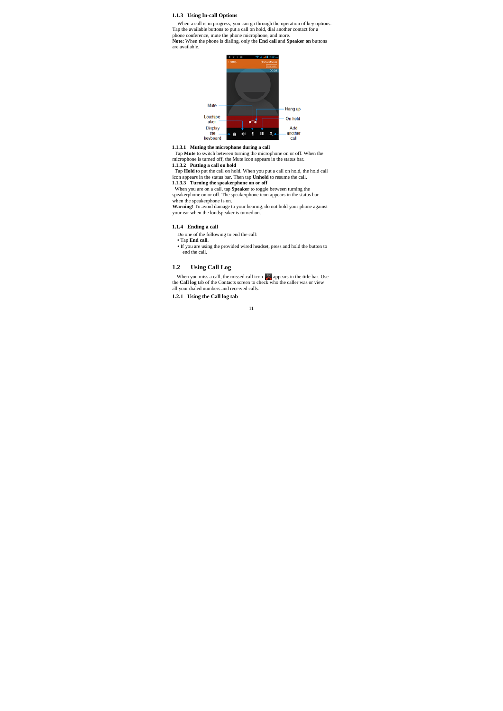### **1.1.3 Using In-call Options**

When a call is in progress, you can go through the operation of key options.<br>Tap the available buttons to put a call on hold, dial another contact for a<br>phone conference, mute the phone microphone, and more.

**Note:** When the phone is dialing, only the **End call** and **Speaker on** buttons are available.



**1.1.3.1 Muting the microphone during a call** Tap **Mute** to switch between turning the microphone on or off. When the microphone is turned off, the Mute icon appears in the status bar.

1.1.3.2 Putting a call on hold<br>Tap Hold to put the call on hold. When you put a call on hold, the hold call<br>icon appears in the status bar. Then tap Unhold to resume the call.<br>1.1.3.3 Turning the speakerphone on or off

When you are on a call, tap **Speaker** to toggle between turning the speakerphone on or off. The speakerphone icon appears in the status bar when the speakerphone is on.<br>**Warning!** To avoid damage to your hearing, do not hold your phone against

your ear when the loudspeaker is turned on.

# **1.1.4 Ending a call**

Do one of the following to end the call:

**•** Tap **End call. • i** you are using the provided wired headset, press and hold the button to **e** end the call.

### **1.2 Using Call Log**

When you miss a call, the missed call icon **a** appears in the title bar. Use the **Call log** tab of the Contacts screen to check who the caller was or view all your dialed numbers and received calls.

**1.2.1 Using the Call log tab**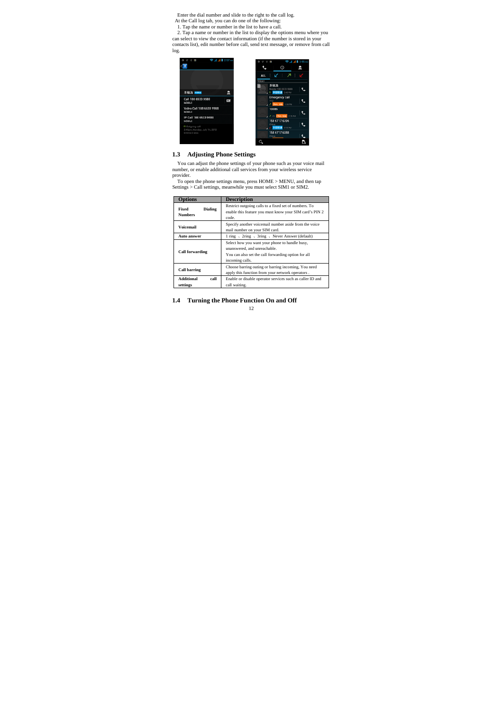Enter the dial number and slide to the right to the call log.<br>At the Call log tab, you can do one of the following:<br>The alternation of the dial of the dialog at the same or number in the list to have a call.<br>2. Tap a name



# **1.3 Adjusting Phone Settings**

You can adjust the phone settings of your phone such as your voice mail number, or enable additional call services from your wireless service

provider. To open the phone settings menu, press HOME > MENU, and then tap Settings > Call settings, meanwhile you must select SIM1 or SIM2.

| Options                                   | <b>Description</b>                                                                                                                                       |  |  |
|-------------------------------------------|----------------------------------------------------------------------------------------------------------------------------------------------------------|--|--|
| Fixed<br><b>Dialing</b><br><b>Numbers</b> | Restrict outgoing calls to a fixed set of numbers. To<br>enable this feature you must know your SIM card's PIN 2<br>code.                                |  |  |
| Voicemail                                 | Specify another voicemail number aside from the voice<br>mail number on your SIM card.                                                                   |  |  |
| <b>Auto answer</b>                        | 1 ring 、 2ring 、 3ring 、 Never Answer (default)                                                                                                          |  |  |
| <b>Call forwarding</b>                    | Select how you want your phone to handle busy,<br>unanswered, and unreachable.<br>You can also set the call forwarding option for all<br>incoming calls. |  |  |
| <b>Call barring</b>                       | Choose barring outing or barring incoming, You need<br>apply this function from your network operators.                                                  |  |  |
| Additional<br>call<br>settings            | Enable or disable operator services such as caller ID and<br>call waiting.                                                                               |  |  |

**1.4 Turning the Phone Function On and Off**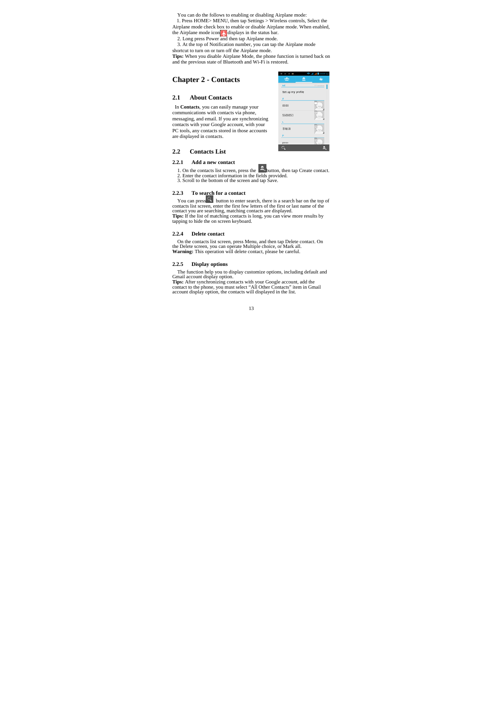You can do the follows to enabling or disabling Airplane mode:

1. Press HOME> MENU, then tap Settings > Wireless controls, Select the Airplane mode check box to enable or disable Airplane mode. When enabled,

the Airplane mode icon  $\Lambda$  displays in the status bar.<br>
2. Long press Power and then tap Airplane mode.<br>
3. At the top of Notification number, you can tap the Airplane mode<br>
shortcut to turn on or turn off the Airplane m

**Tips:** When you disable Airplane Mode, the phone function is turned back on and the previous state of Bluetooth and Wi-Fi is restored.

# **Chapter 2 - Contacts**

### **2.1 About Contacts**

In **Contacts**, you can easily manage your

communications with contacts via phone, messaging, and email. If you are synchronizing contacts with your Google account, with your PC tools, any contacts stored in those accounts are displayed in contacts.

|                   | 11 contacts |
|-------------------|-------------|
| Set up my profile |             |
|                   |             |
| 5555              |             |
| 5688853           |             |
| ٤                 |             |
| 李敏浩               |             |
|                   |             |
| psss              | ×           |
|                   |             |

 $\hat{Y}$   $\hat{Y}$   $\hat{B}$ 

▼⊿⊿∎307

# **2.2 Contacts List**

# **2.2.1 Add a new contact**

1. On the contacts list screen, press the **button** then tap Create contact. 2. Enter the contact information in the fields provided.<br>3. Scroll to the bottom of the screen and tap Save.

#### **2.2.3 To search for a contact**

You can press<sup>18</sup> button to enter search, there is a search bar on the top of contacts list screen, enter the first few letters of the first or last name of the contact you are searching, matching contacts are displayed.<br>

#### **2.2.4 Delete contact**

On the contacts list screen, press Menu, and then tap Delete contact. On the Delete screen, you can operate Multiple choice, or Mark all. **Warning:** This operation will delete contact, please be careful.

# **2.2.5 Display options**

The function help you to display customize options, including default and<br>Gmail account display option.<br>Thes: After synchronizing contacts with your Google account, add the<br>contact to the phone, you must select "All Other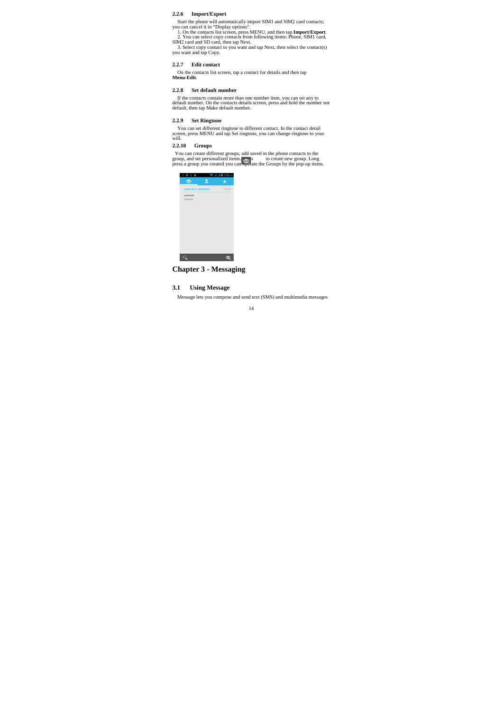# **2.2.6 Import/Export**

Start the phone will automatically import SIM1 and SIM2 card contacts;<br>you can cancel it in "Display options".<br>1. On the contacts list screen, press MENU, and then tap **Import/Export**.<br>2. You can select copy contacts from

#### **2.2.7 Edit contact**

On the contacts list screen, tap a contact for details and then tap **Menu-Edit**.

### **2.2.8 Set default number**

If the contacts contain more than one number item, you can set any to default number. On the contacts details screen, press and hold the number not default, then tap Make default number.

### **2.2.9 Set Ringtone**

You can set different ringtone to different contact. In the contact detail screen, press MENU and tap Set ringtone, you can change ringtone to your will.

# **2.2.10 Groups**

You can create different groups, add saved in the phone contacts to the group, and set personalized items.  $\frac{1}{26}$ , set to create new group. Long press a group you created you can  $\frac{1}{26}$  date the Groups by the pop-

| $\dot{Y}$ $\Phi$ $\dot{Y}$ $\mathbf{B}$ | <b>Pada 8 353 mg</b> |
|-----------------------------------------|----------------------|
| tā:<br>Ξ                                | ٠                    |
| USIM-ONLY, UNSYNCED                     | 中国联通                 |
| unicom<br>2 people                      |                      |
|                                         |                      |
|                                         |                      |
|                                         |                      |
|                                         |                      |
|                                         |                      |
|                                         |                      |
|                                         |                      |
|                                         |                      |
|                                         |                      |

**Chapter 3 - Messaging** 

# **3.1 Using Message**

Message lets you compose and send text (SMS) and multimedia messages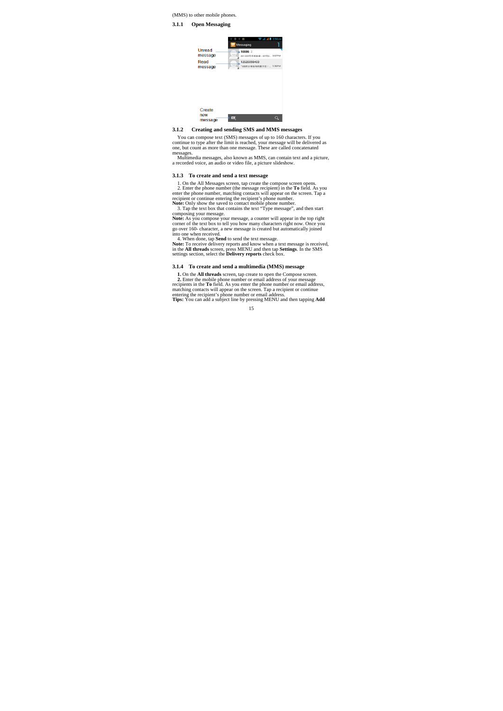(MMS) to other mobile phones.

#### **3.1.1 Open Messaging**

|                   |             | <b>☆ 四 ▼ 』』图 3:58 PM</b> |
|-------------------|-------------|--------------------------|
|                   | Messaging   |                          |
| Unread<br>message | 10086 2     | 201207月手机账单: 07月0 3:57PM |
| Read<br>message   | 12520098403 | 飞信积分体验特权属于您 ! 1:36PM     |
|                   |             |                          |
|                   |             |                          |
|                   |             |                          |
|                   |             |                          |
|                   |             |                          |

#### new<br>message  $\overline{a}$  $\overline{\phantom{a}}$

### **3.1.2 Creating and sending SMS and MMS messages**

You can compose text (SMS) messages of up to 160 characters. If you and continue to type after the limit is reached, your message will be delivered as one, but count as more than one message. These are called concatenated

messages. Multimedia messages, also known as MMS, can contain text and a picture, a recorded voice, an audio or video file, a picture slideshow.

#### **3.1.3 To create and send a text message**

1. On the All Messages screen, tap create the compose screen opens.<br>2. Enter the phone number (the massage recipient) in the **T** o field. As you<br>enter the phone number, matching contaacts will appear on the screen. Tap a<br>r

#### **3.1.4 To create and send a multimedia (MMS) message**

1. On the **All threads** screen, tap create to open the Compose screen.<br>2. Enter the mobile phone number or email address of your measage<br>recipients in the To field. As you enter the phone number or email address,<br>matching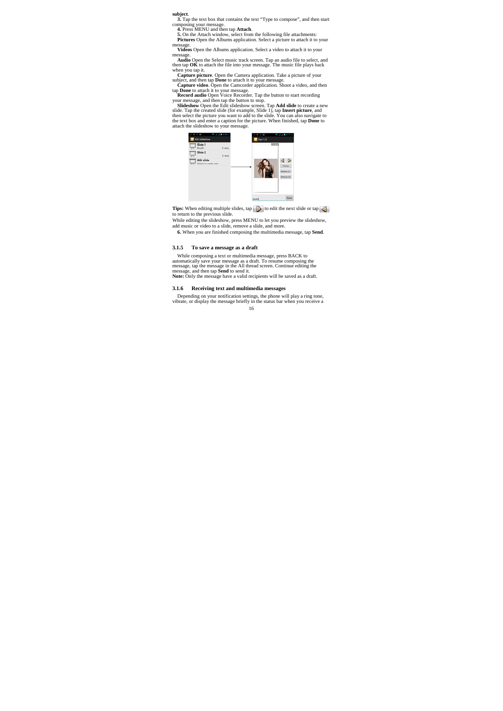**3.** Tap the text box that contains the text "Type to compose", and then start

composing your message.<br> **4. Press MENU and then tap Attach.**<br> **5.** On the Attach window, select from the following file attachments:<br> **Pictures** Open the Albums application. Select a picture to attach it to your<br> **message** 

**Videos** Open the Albums application. Select a video to attach it to your **TRUITE**<br>message.<br>**Videos** Open the Albums application. Select a video to attach it to your

**Audio Open the Select music track screen. Tap an audio file to select, and<br>then tap OK to attach the file into your message. The music file plays back<br>when you tap it.<br>Capture picture. Open the Camera application. Take a** 



**Tips:** When editing multiple slides, tap  $\Box$  to edit the next slide or tap

to return to the previous slide. While editing the slideshow, press MENU to let you preview the slideshow, add music or video to a slide, remove a slide, and more.

**6.** When you are finished composing the multimedia message, tap **Send**.

# **3.1.5 To save a message as a draft**

While composing a text or multimedia message, press BACK to<br>automatically save your message as a draft. To resume composing the<br>message, tap the message in the All thread screen. Continue editing the<br>message, and then tap

### **3.1.6 Receiving text and multimedia messages**

16 Depending on your notification settings, the phone will play a ring tone, vibrate, or display the message briefly in the status bar when you receive a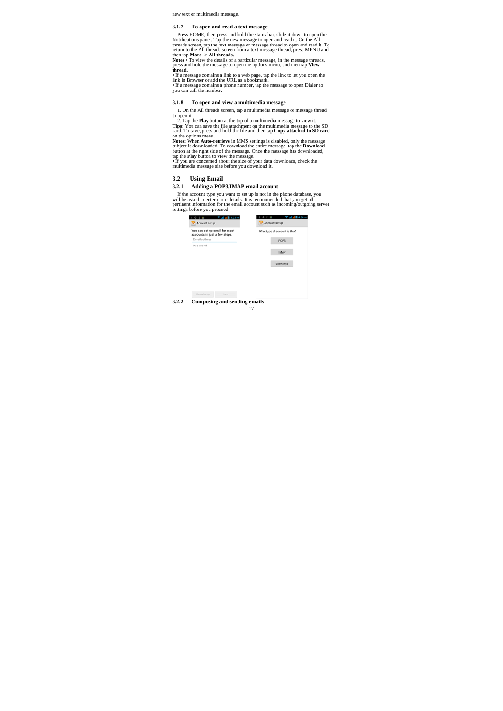new text or multimedia message.

#### **3.1.7 To open and read a text message**

Press HOME, then press and hold the status bar, slide it down to open the Notifications panel. Tap the new message to open and read it. On the All threads screen, tap the text message thread to open and read it. To return

press and hold the message to open the options menu, and then tap View<br>thread.<br> **•** If a message contains a link to a web page, tap the link to let you open the<br>
link in Browser or add the URL as a bookmark.<br> **•** If a mess

# **3.1.8 To open and view a multimedia message**

1. On the All threads screen, tap a multimedia message or message thread

to open it.<br>2. Tap the **Play** button at the top of a multimedia message to view it.<br>**2.** Tap the **Play** button at the top of a multimedia message to view it.<br>**2. These**: You can save the file attachment on the multimedia

# **3.2 Using Email**

# **3.2.1 Adding a POP3/IMAP email account**

If the account type you want to set up is not in the phone database, you<br>will be asked to enter more details. It is recommended that you get all<br>pertinent information for the email account such as incoming/outgoing server<br>

| You can set up email for most<br>accounts in just a few steps. | What type of account is this? |
|----------------------------------------------------------------|-------------------------------|
| Email address                                                  | POP3                          |
| Password                                                       |                               |
|                                                                | <b>IMAP</b>                   |
|                                                                |                               |
|                                                                | Exchange                      |
|                                                                |                               |
|                                                                |                               |
|                                                                |                               |
|                                                                |                               |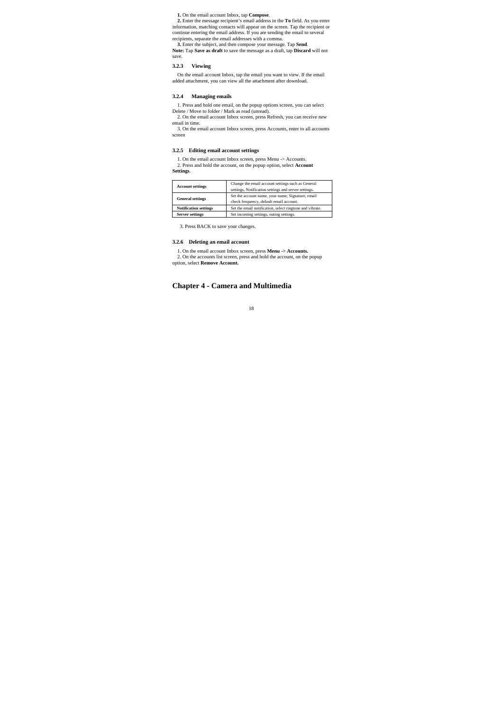**1.** On the email account Inbox, tap **Compose**.

**2.** Enter the message recipient's email address in the **To** field. As you enter information, matching contacts will appear on the screen. Tap the recipient or continue entering the email addresse. If you are sending the

save.

### **3.2.3 Viewing**

On the email account Inbox, tap the email you want to view. If the email added attachment, you can view all the attachment after download.

# **3.2.4 Managing emails**

1. Press and hold one email, on the popup options screen, you can select Delete / Move to folder / Mark as read (unread).

2. On the email account Inbox screen, press Refresh, you can receive new email in time.

3. On the email account Inbox screen, press Accounts, enter to all accounts screen

# **3.2.5 Editing email account settings**

1. On the email account Inbox screen, press Menu -> Accounts. 2. Press and hold the account, on the popup option, select **Account Settings**.

| <b>Account settings</b>      | Change the email account settings such as General<br>settings, Notification settings and server settings. |
|------------------------------|-----------------------------------------------------------------------------------------------------------|
| <b>General settings</b>      | Set the account name, your name, Signature, email<br>check frequency, default email account.              |
| <b>Notification settings</b> | Set the email notification, select ringtone and vibrate.                                                  |
| <b>Server settings</b>       | Set incoming settings, outing settings.                                                                   |

3. Press BACK to save your changes.

### **3.2.6 Deleting an email account**

1. On the email account Inbox screen, press **Menu -> Accounts.**  2. On the accounts list screen, press and hold the account, on the popup option, select **Remove Account.**

# **Chapter 4 - Camera and Multimedia**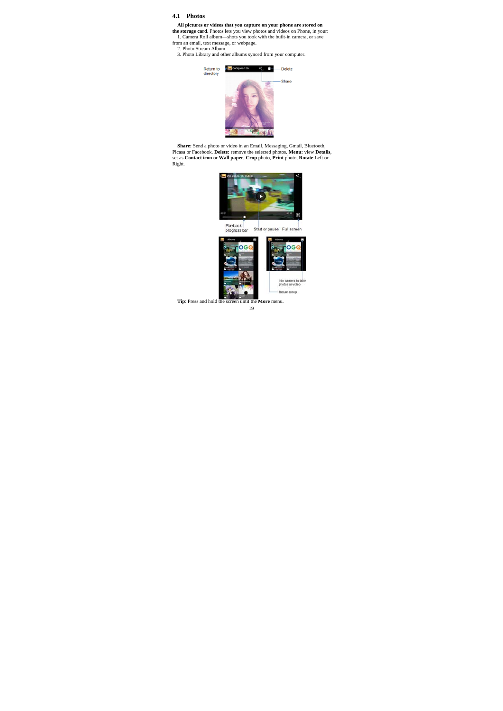# **4.1 Photos**

- **All pictures or videos that you capture on your phone are stored on** the storage card. Photos lets you view photos and videos on Phone, in your: 1. Camera Roll album—shots you took with the built-in camera, or save from a
- 
- 2. Photo Stream Album. 3. Photo Library and other albums synced from your computer.



**Share:** Send a photo or video in an Email, Messaging, Gmail, Bluetooth, Picasa or Facebook. **Delete:** remove the selected photos. **Menu:** view **Details,** set as Contact icon or Wall paper, Crop photo, Print photo, Rotate

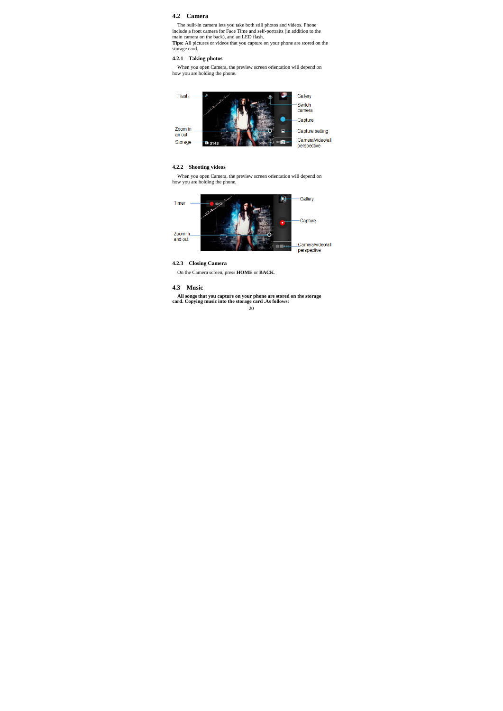# **4.2 Camera**

The built-in camera lets you take both still photos and videos. Phone<br>include a front camera for Face Time and self-portraits (in addition to the<br>main camera on the back), and an LED flash.<br>**Tips:** All pictures or videos t

storage card.

# **4.2.1 Taking photos**

When you open Camera, the preview screen orientation will depend on how you are holding the phone.



# **4.2.2 Shooting videos**

When you open Camera, the preview screen orientation will depend on how you are holding the phone.



**4.2.3 Closing Camera** 

On the Camera screen, press **HOME** or **BACK**.

## **4.3 Music**

 $20$ **All songs that you capture on your phone are stored on the storage card. Copying music into the storage card .As follows:**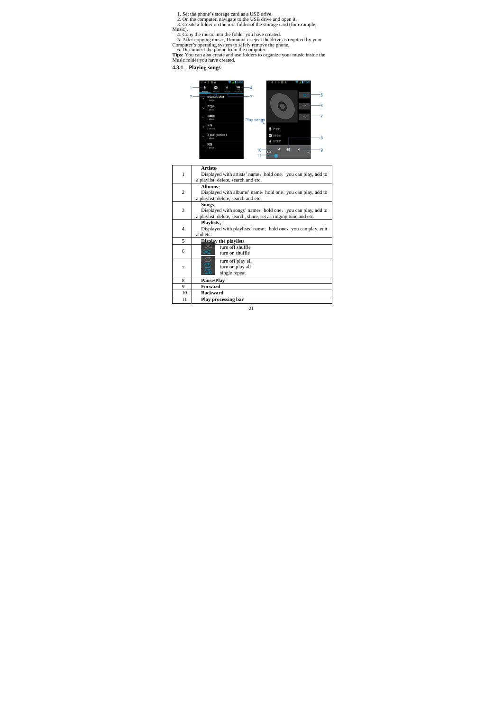- 
- 
- 
- 
- 
- 
- 1. Set the phone's storage card as a USB drive.<br>
2. On the computer, navigate to the USB drive and open it.<br>
3. Create a folder on the root folder of the storage card (for example,<br>
Music).<br>
4. Copy the music into the fold
- **4.3.1 Playing songs**



| 1<br>Displayed with artists' name; hold one, you can play, add to<br>a playlist, delete, search and etc.<br>Albums:<br>$\overline{c}$<br>Displayed with albums' name; hold one, you can play, add to<br>a playlist, delete, search and etc.<br>Songs:<br>3<br>Displayed with songs' name; hold one, you can play, add to<br>a playlist, delete, search, share, set as ringing tune and etc.<br>Playlists:<br>$\overline{4}$<br>Displayed with playlists' name; hold one, you can play, edit<br>and etc.<br>5<br>Disnlay the playlists<br>turn off shuffle<br>6<br>turn on shuffle<br>turn off play all<br>turn on play all<br>7<br>single repeat<br>8<br>Pause/Play<br>9<br>Forward<br><b>Backward</b><br>10<br>Play processing bar<br>11 | Artists: |
|-------------------------------------------------------------------------------------------------------------------------------------------------------------------------------------------------------------------------------------------------------------------------------------------------------------------------------------------------------------------------------------------------------------------------------------------------------------------------------------------------------------------------------------------------------------------------------------------------------------------------------------------------------------------------------------------------------------------------------------------|----------|
|                                                                                                                                                                                                                                                                                                                                                                                                                                                                                                                                                                                                                                                                                                                                           |          |
|                                                                                                                                                                                                                                                                                                                                                                                                                                                                                                                                                                                                                                                                                                                                           |          |
|                                                                                                                                                                                                                                                                                                                                                                                                                                                                                                                                                                                                                                                                                                                                           |          |
|                                                                                                                                                                                                                                                                                                                                                                                                                                                                                                                                                                                                                                                                                                                                           |          |
|                                                                                                                                                                                                                                                                                                                                                                                                                                                                                                                                                                                                                                                                                                                                           |          |
|                                                                                                                                                                                                                                                                                                                                                                                                                                                                                                                                                                                                                                                                                                                                           |          |
|                                                                                                                                                                                                                                                                                                                                                                                                                                                                                                                                                                                                                                                                                                                                           |          |
|                                                                                                                                                                                                                                                                                                                                                                                                                                                                                                                                                                                                                                                                                                                                           |          |
|                                                                                                                                                                                                                                                                                                                                                                                                                                                                                                                                                                                                                                                                                                                                           |          |
|                                                                                                                                                                                                                                                                                                                                                                                                                                                                                                                                                                                                                                                                                                                                           |          |
|                                                                                                                                                                                                                                                                                                                                                                                                                                                                                                                                                                                                                                                                                                                                           |          |
|                                                                                                                                                                                                                                                                                                                                                                                                                                                                                                                                                                                                                                                                                                                                           |          |
|                                                                                                                                                                                                                                                                                                                                                                                                                                                                                                                                                                                                                                                                                                                                           |          |
|                                                                                                                                                                                                                                                                                                                                                                                                                                                                                                                                                                                                                                                                                                                                           |          |
|                                                                                                                                                                                                                                                                                                                                                                                                                                                                                                                                                                                                                                                                                                                                           |          |
|                                                                                                                                                                                                                                                                                                                                                                                                                                                                                                                                                                                                                                                                                                                                           |          |
|                                                                                                                                                                                                                                                                                                                                                                                                                                                                                                                                                                                                                                                                                                                                           |          |
|                                                                                                                                                                                                                                                                                                                                                                                                                                                                                                                                                                                                                                                                                                                                           |          |
|                                                                                                                                                                                                                                                                                                                                                                                                                                                                                                                                                                                                                                                                                                                                           |          |
|                                                                                                                                                                                                                                                                                                                                                                                                                                                                                                                                                                                                                                                                                                                                           |          |
|                                                                                                                                                                                                                                                                                                                                                                                                                                                                                                                                                                                                                                                                                                                                           |          |
|                                                                                                                                                                                                                                                                                                                                                                                                                                                                                                                                                                                                                                                                                                                                           |          |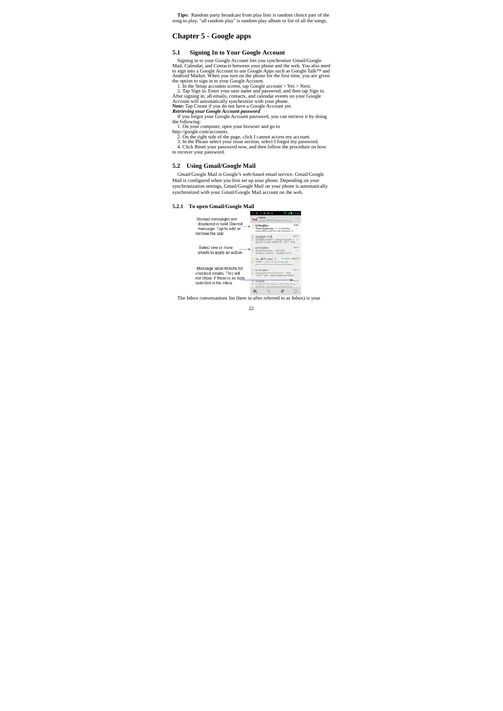**Tips:** Random party broadcast from play lists is random choice part of the song to play, "all random play" is random play album or list of all the songs.

# **Chapter 5 - Google apps**

# **5.1 Signing In to Your Google Account**

Signing in to your Google Account lets you synchronize Gmail/Google Mail, Calendar, and Contacts between your phone and the web. You also need to sign into a Google Account to use Google Apps such as Google Talk<sup>TM</sup> and A

1. On your computer, open your browser and go to<br>http://google.com/accounts.<br>2. On the right side of the page, click I cannot access my account.<br>3. In the Please select your issue section, select I forgot my password.<br>4. C

### **5.2 Using Gmail/Google Mail**

Gmail/Google Mail is Google's web-based email service. Gmail/Google Mail is configured when you first set up your phone. Depending on your synchronization settings, Gmail/Google Mail on your phone is automatically synchronized with your Gmail/Google Mail account on the web.



The Inbox conversations list (here in after referred to as Inbox) is your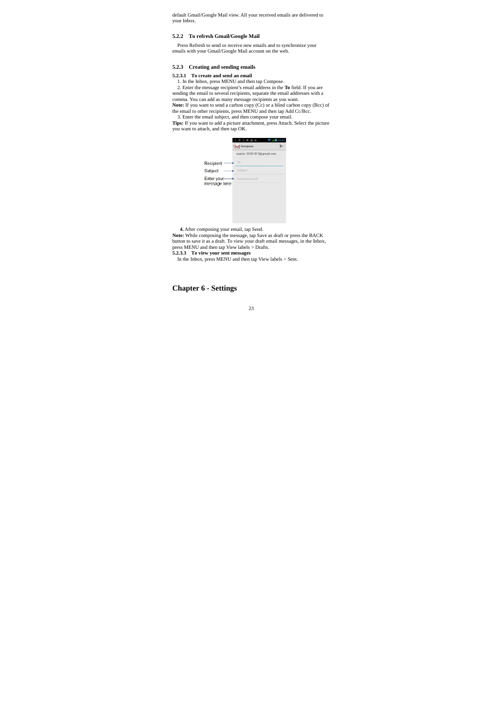default Gmail/Google Mail view. All your received emails are delivered to your Inbox.

# **5.2.2 To refresh Gmail/Google Mail**

Press Refresh to send or receive new emails and to synchronize your emails with your Gmail/Google Mail account on the web.

### **5.2.3 Creating and sending emails**

# **5.2.3.1 To create and send an email**

1. In the Inbox, press MENU and then tap Compose.<br>2. Enter the message recipient's email address in the **To** field. If you are<br>sending the email to several recipients, separate the email addresses with a<br>comma. You can ad

|                             | M Compose                 |  |
|-----------------------------|---------------------------|--|
|                             | sophie.12201013@gmail.com |  |
| Recipient                   | To                        |  |
| Subject                     | subject                   |  |
| Enter your-<br>message here | Compete email             |  |
|                             |                           |  |
|                             |                           |  |

### **4.** After composing your email, tap Send.

**Note:** While composing the message, tap Save as draft or press the BACK<br>button to save it as a draft. To view your draft email messages, in the Inbox,<br>press MENU and then tap View labels > Drafts.<br>5.2.3.3 To view your sen

# **Chapter 6 - Settings**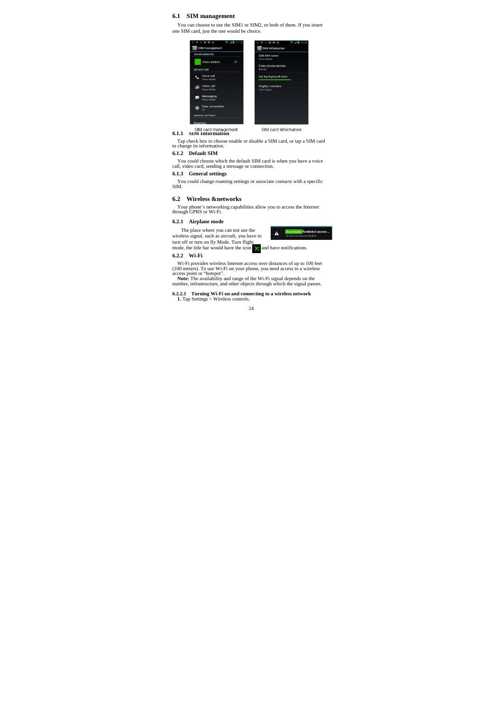### **6.1 SIM management**

You can choose to use the SIM1 or SIM2, or both of them. If you insert one SIM card, just the one would be choice.

| <b>SIM INFORMATION</b>                     | Edit SIM name                            |
|--------------------------------------------|------------------------------------------|
| China Mobile                               | China Mobile                             |
| <b>DEFAULT SIM</b>                         | Enter phone number<br>Not set            |
| Voice call<br>China Mobile                 | Set background color                     |
| Video call<br>$\mathbb{Z}$<br>China Mobile | <b>Display numbers</b><br>First 4 digits |
| Messaging<br>t.<br>China Mobile            |                                          |
| Data connection<br>⊕<br>$\sim$             |                                          |
| <b>GENERAL SETTINGS</b>                    |                                          |

### **6.1.1 SIM Card managen**

Tap check box to choose enable or disable a SIM card, or tap a SIM card to change its information.

**6.1.2 Default SIM** 

You could choose which the default SIM card is when you have a voice call, video card, sending a message or connection.

# **6.1.3 General settings**

You could change roaming settings or associate contacts with a specific SIM.

# **6.2 Wireless &networks**

Your phone's networking capabilities allow you to access the Internet through GPRS or Wi-Fi.

# **6.2.1 Airplane mode**



# **6.2.2 Wi-Fi**

Wi-Fi provides wireless Internet access over distances of up to 100 feet<br>(100 meters). To use Wi-Fi on your phone, you need access to a wireless<br>access point or "hotspot".<br>Note: The availability and range of the Wi-Fi sign

**6.2.2.1 Turning Wi-Fi on and connecting to a wireless network 1.** Tap Settings > Wireless controls.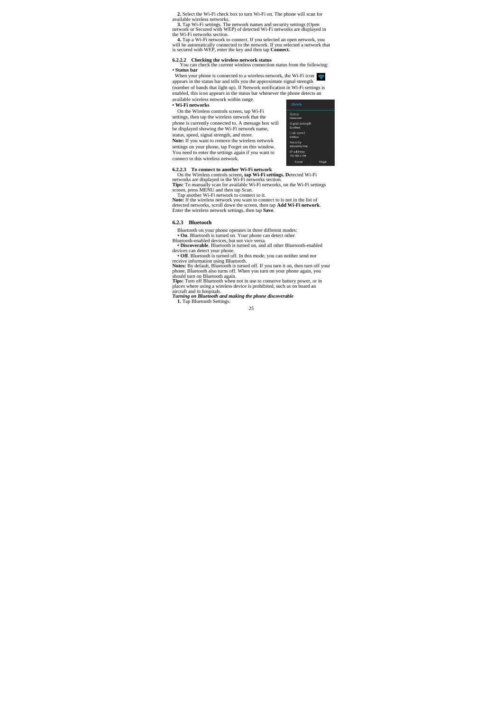**2.** Select the Wi-Fi check box to turn Wi-Fi on. The phone will scan for

available wireless networks. **3.** Tap Wi-Fi settings. The network names and security settings (Open network or Secured with WEP) of detected Wi-Fi networks are displayed in

the Wi-Fi networks section.<br>4. Tap a Wi-Fi network to connect. If you selected an open network, you<br>will be automatically connected to the network. If you selected a network that<br>is secured with WEP, enter the key and then

**6.2.2.2 Checking the wireless network status**  You can check the current wireless connection status from the following: **• Status bar**

When your phone is connected to a wireless network, the Wi-Fi icon appears in the status bar and tells you the approximate signal strength (number of bands that light up). If Network notification in Wi-Fi settings is enabled, this icon appears in the status bar whenever the phone detects an available wireless network within range.

#### **• Wi-Fi networks**

On the Wireless controls screen, tap Wi-Fi settings, then tap the wireless network that the phone is currently connected to. A message box will be displayed showing the Wi-Fi network name, status, speed, signal strength, and more. **Note:** If you want to remove the wireless network settings on your phone, tap Forget on this window. You need to enter the settings again if you want to connect to this wireless network.



**6.2.2.3** To connect to another Wi-Fi network<br>
On the Wieless controls screen, tap Wi-Fi settings. Detected Wi-Fi<br>
On the Wieless controls screen, the Wi-Fi networks are displayed in the Wi-Fi networks section.<br> **Tips:** T

# **6.2.3 Bluetooth**

Bluetooth on your phone operates in three different modes:<br>
• On. Bluetooth is turned on. Your phone can detect other<br> **Bluetooth-enabled devices**, but not vice versa.<br>
• Discovershee. Bluetooth is urned on, and all other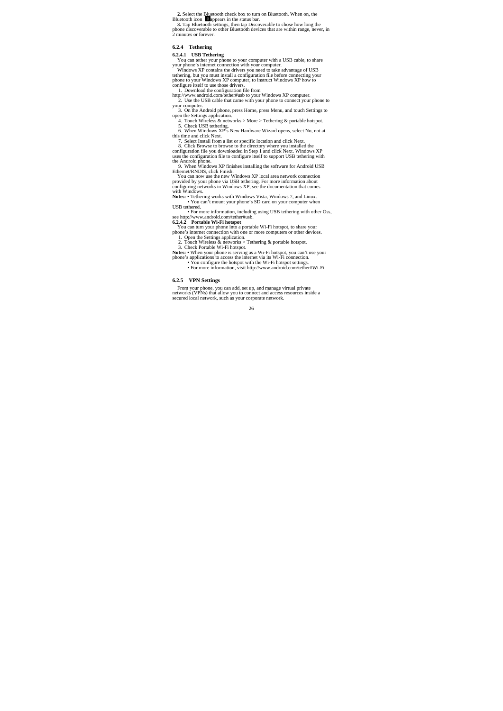2. Select the Bluetooth check box to turn on Bluetooth. When on, the Bluetooth icon **El**appears in the status bar.<br>3. Tap Bluetooth settings, then tap Discoverable to chose how long the box 3. Tap Bluetooth settings, then

**6.2.4 Tethering** 

**6.2.4.1 USB Tethering**<br>You can tetter your phone to your computer with a USB cable, to share<br>your phone's internet connection with your computer.<br>Windows XP contains the drivers you need to take advantage of USB<br>tetherin

http://www.android.com/tether#usb to your Windows XP computer. 2. Use the USB cable that came with your phone to connect your phone to your computer. 3. On the Android phone, press Home, press Menu, and touch Settings to

open the Settings application. 4. Touch Wireless & networks > More > Tethering & portable hotspot.<br>5. Check USB tethering. 6. When Windows XP's New Hardware Wizard opens, select No, not at this time and click Next.

7. Select Install from a list or specific location and click Next.<br>8. Click Browse to browse to the directory where you installed the<br>configuration file you downloaded in Step 1 and click Next. Windows XP<br>uses the configu

**•** For more information, including using USB tethering with other Oss,

see http://www.amfroid.com/tether#usb.<br>
See http://www.amfroid.com/tether#usb.<br>
You can turn your phone into a portable Wi-Fi hotspot, to share your<br>
phone is internet comercitor with one or more computers or other devices

Notes: • When your phone is serving as a Wi-Fi hotspot, you can't use your<br>phone's applications to access the internet via its Wi-Fi connection.<br>• You configure the hotspot with the Wi-Fi hotspot settings.<br>• For more infor

### **6.2.5 VPN Settings**

From your phone, you can add, set up, and manage virtual private networks (VPNs) that allow you to connect and access resources inside a secured local network, such as your corporate network.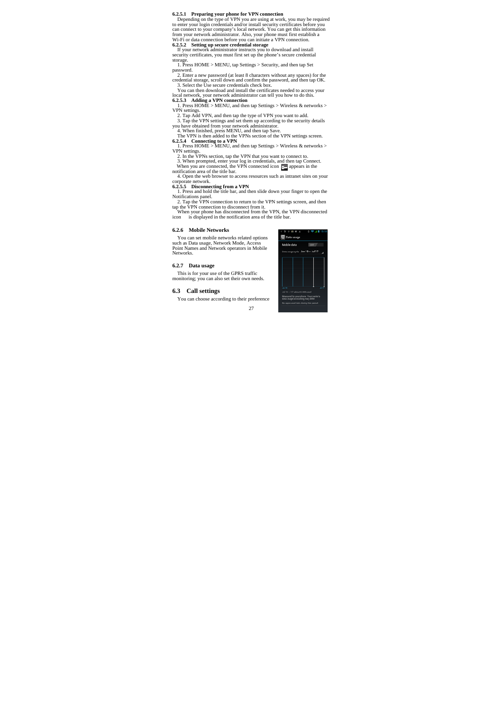**6.2.5.1 Preparing your phone for VPN connection**<br>Depending on the type of VPN you are using at work, you may be required<br>to enter your login credentials and/or install security certificates before you<br>can connect to your

storage. 1. Press HOME > MENU, tap Settings > Security, and then tap Set password.

2. Enter a new password (at least 8 characters without any spaces) for the credential storage, scroll down and confirm the password, and then tap OK.<br>3. Select the Use secure credentials check box.<br>3. Ocean then download

VPN settings.<br>2. Tap Add VPN, and then tap the type of VPN you want to add.<br>3. Tap Add VPN settings and set them up according to the security details<br>3. Tap the VPN settings and set them up according to the security detai

2. In the VPNs section, tap the VPN that you want to connect to.<br>3. When prompted, enter your log in credentials, and then tap Connect.<br>When you are connected, the VPN connected icon  $\overline{c_2}$  appears in the<br>notification

4. Open the web browser to access resources such as intranet sites on your

corporate network.<br>
6.2.5.5 Disconnecting from a VPN<br>
1. Press and hold the title bar, and then slide down your finger to open the<br>
Notifications panel.<br>
2. Tap the VPN connection to return to the VPN settings screen, and

#### **6.2.6 Mobile Networks**

You can set mobile networks related options such as Data usage, Network Mode, Access Point Names and Network operators in Mobile Networks.

**6.2.7 Data usage** 

This is for your use of the GPRS traffic monitoring; you can also set their own needs.

# **6.3 Call settings**

You can choose according to their preference

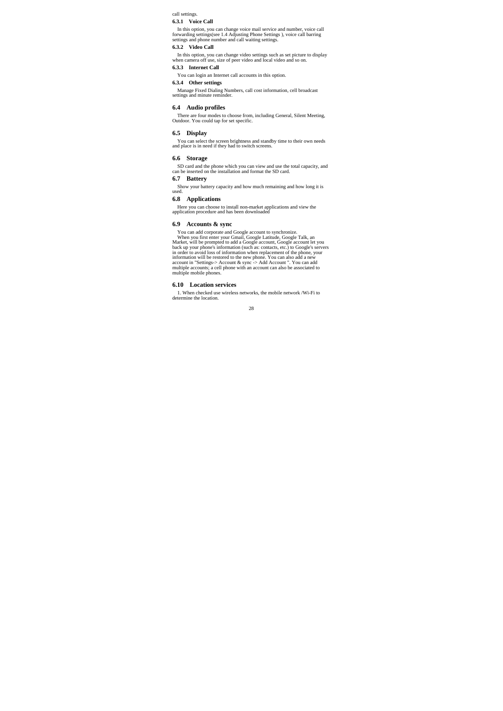call settings.

### **6.3.1 Voice Call**

In this option, you can change voice mail service and number, voice call barring settings (forwarding Phone number and call waiting settings), voice call barring settings and phone number and call waiting settings.

#### **6.3.2 Video Call**

In this option, you can change video settings such as set picture to display when camera off use, size of peer video and local video and so on.

# **6.3.3 Internet Call**

You can login an Internet call accounts in this option.

## **6.3.4 Other settings**

Manage Fixed Dialing Numbers, call cost information, cell broadcast settings and minute reminder.

# **6.4 Audio profiles**

There are four modes to choose from, including General, Silent Meeting, Outdoor. You could tap for set specific.

## **6.5 Display**

You can select the screen brightness and standby time to their own needs and place is in need if they had to switch screens.

### **6.6 Storage**

SD card and the phone which you can view and use the total capacity, and can be inserted on the installation and format the SD card.

# **6.7 Battery**

Show your battery capacity and how much remaining and how long it is used.

# **6.8 Applications**

Here you can choose to install non-market applications and view the application procedure and has been downloaded

# **6.9 Accounts & sync**

You can add corporate and Google account to synchronize.<br>When you first entre your Comail, Google Laitude, Google Talk, an<br>Market, will be prompted to add a Google account, Google account let you<br>back up your phone's infor

#### **6.10 Location services**

1. When checked use wireless networks, the mobile network /Wi-Fi to determine the location.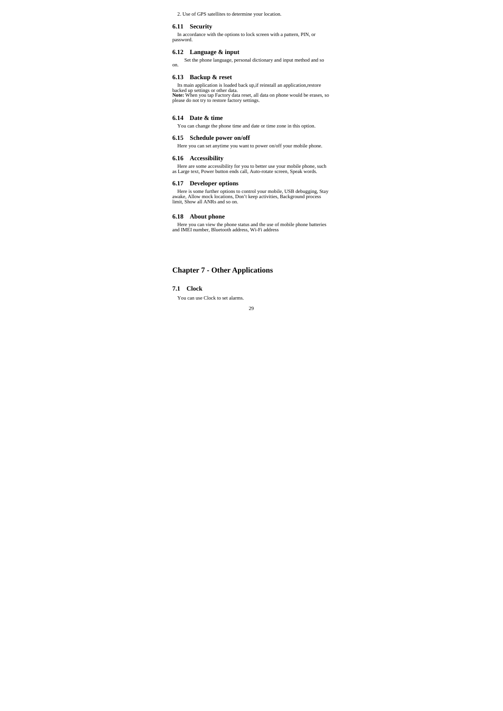2. Use of GPS satellites to determine your location.

#### **6.11 Security**

In accordance with the options to lock screen with a pattern, PIN, or password.

# **6.12 Language & input**

Set the phone language, personal dictionary and input method and so on.

# **6.13 Backup & reset**

Its main application is loaded back up, if reinstall an application, restore backed up settings or other data.<br>Note: When you tap Factory data reset, all data on phone would be erases, so<br>Note: When you tap Factory data re

# **6.14 Date & time**

You can change the phone time and date or time zone in this option.

# **6.15 Schedule power on/off**

Here you can set anytime you want to power on/off your mobile phone.

### **6.16 Accessibility**

Here are some accessibility for you to better use your mobile phone, such as Large text, Power button ends call, Auto-rotate screen, Speak words.

# **6.17 Developer options**

Here is some further options to control your mobile, USB debugging, Stay awake, Allow mock locations, Don't keep activities, Background process limit, Show all ANRs and so on.

# **6.18 About phone**

Here you can view the phone status and the use of mobile phone batteries and IMEI number, Bluetooth address, Wi-Fi address

# **Chapter 7 - Other Applications**

**7.1 Clock** 

You can use Clock to set alarms.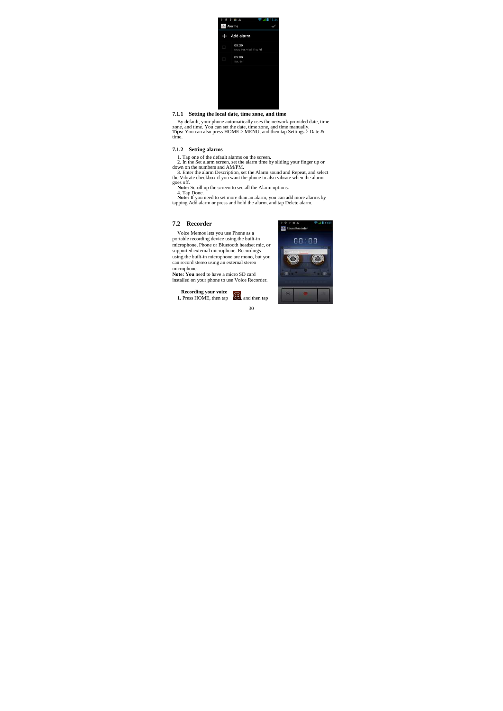

### **7.1.1 Setting the local date, time zone, and time**

By default, your phone automatically uses the network-provided date, time zone, and time. You can set the date, time zone, and time manually. Thes: You can also press HOME > MENU, and then tap Settings > Date & time.

## **7.1.2 Setting alarms**

1. Tap one of the default alarms on the screen.<br>
2. In the Set alarm screen, set the alarm time by sliding your finger up or<br>
2. In the Set alarm Scencil alarm time by sliding your finger up or<br>
3. Enter the alarm Descript

#### **7.2 Recorder**

Voice Memos lets you use Phone as a portable recording device using the built-in microphone, Phone or Bluetooth headset mic, or supported external microphone. Recordings using the built-in microphone are mono, but you can record stereo using an external stereo

microphone. Note: You need to have a micro SD card installed on your phone to use Voice Recorder.

30 **Recording your voice**<br> **1.** Press HOME, then tap  $\therefore$  and then tap

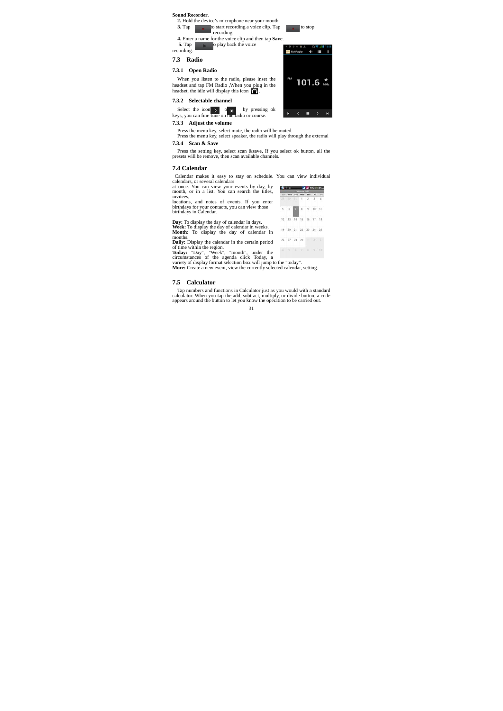# **Sound Recorder**. **2.** Hold the device's microphone near your mouth.<br> **3.** Tap to start recording a voice clip. Tap to stop recording. **4.** Enter a name for the voice clip and then tap **Save**. **5.** Tap o play back the voice recording. MANGO **(1 E 7.3 Radio 7.3.1 Open Radio**  When you listen to the radio, please inset the headset and tap FM Radio ,When you plug in the headset, the idle will display this icon  $\bigcap$ . 101.6 **7.3.2 Selectable channel**  Select the icon  $\rho$  or  $\rho$  by pressing ok keys, you can fine-tune on the radio or course. a.  $\blacksquare$ **7.3.3 Adjust the volume**

Press the menu key, select mute, the radio will be muted. Press the menu key, select speaker, the radio will play through the external **7.3.4 Scan & Save** 

Press the setting key, select scan &save, If you select ok button, all the presets will be remove, then scan available channels.

### **7.4 Calendar**

| Calendar makes it easy to stay on schedule. You can view individual |                          |                     |  |  |
|---------------------------------------------------------------------|--------------------------|---------------------|--|--|
| alendars, or several calendars                                      |                          |                     |  |  |
| t once. You can view your events by day, by                         | <b>A A A A A A A A A</b> |                     |  |  |
| nonth, or in a list. You can search the titles,                     |                          | <b>Convert 2012</b> |  |  |
| ivitees.                                                            | Mon Tue Wed The Fri Iut  |                     |  |  |
|                                                                     | 29 20 31 1 2 3 4         |                     |  |  |
| peations, and notes of events. If you enter                         |                          |                     |  |  |

calendars, or several calendars<br>at once. You can view your events by day, by<br>month, or in a list. You can search the titles,<br>invitees,<br>locations, and notes of events. If you enter<br>birthdays for your contacts, you can view

| birthdays for your contacts, you can view those<br>birthdays in Calendar.                                                                            |  | 5 6 7 8 9 10 11          |  |  |
|------------------------------------------------------------------------------------------------------------------------------------------------------|--|--------------------------|--|--|
| <b>Day:</b> To display the day of calendar in days.                                                                                                  |  | 12 13 14 15 16 17 18     |  |  |
| Week: To display the day of calendar in weeks.<br><b>Month:</b> To display the day of calendar in                                                    |  | 19 20 21 22 23 24 25     |  |  |
| months.<br>Daily: Display the calendar in the certain period                                                                                         |  | 26 27 28 29   2          |  |  |
| of time within the region.<br>Today: "Day", "Week", "month", under the<br>circumstances of the agenda click Today, a                                 |  | $3 - 3 - 0$ 7 3 $9 - 10$ |  |  |
| variety of display format selection box will jump to the "today".<br><b>More:</b> Create a new event, view the currently selected calendar, setting. |  |                          |  |  |

# **7.5 Calculator**

Tap numbers and functions in Calculator just as you would with a standard calculator. When you tap the add, subtract, multiply, or divide button, a code appears around the button to let you know the operation to be carried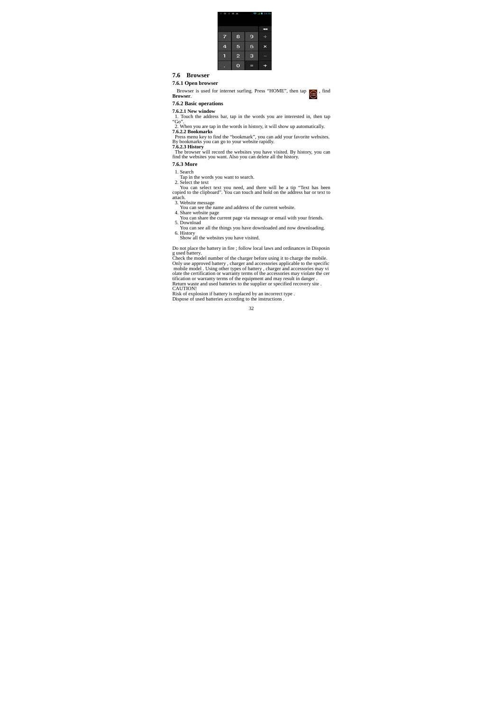

# **7.6 Browser**

**7.6.1 Open browser** 

Browser is used for internet surfing. Press "HOME", then tap  $\Box$ , find **Browser**.

### **7.6.2 Basic operations**

**7.6.2.1 New window**  1. Touch the address bar, tap in the words you are interested in, then tap

"Go".<br>
2. When you are tap in the words in history, it will show up automatically.<br>
2.  $\sqrt{2}$ . **Bookmarks**<br> **Press menu key to find the "bookmark", you can add your favorite websites.**<br> **Press menu key to find the websit** 

**7.6.3 More** 

1. Search

Tap in the words you want to search.<br>
2. Select the text<br>
You can select text you need, and there will be a tip "Text has been<br>
copied to the clipboard". You can touch and hold on the address bar or text to

- 
- 

atiach.<br>
3. Website message<br>
2. Website message<br>
4. Share website page<br>
4. Share website page<br>
4. Share website page<br>
5. Download<br>
5. Download<br>
5. Download<br>
5. Download<br>
5. Nownload<br>
5. Nownload<br>
5. Nownload<br>
5. History

Do not place the battery in fire ; follow local laws and ordinances in Disposin<br>g used battery.<br>The state of the charger before using it to charge the mobile.<br>Only use approved battery , charger and accessories applicable